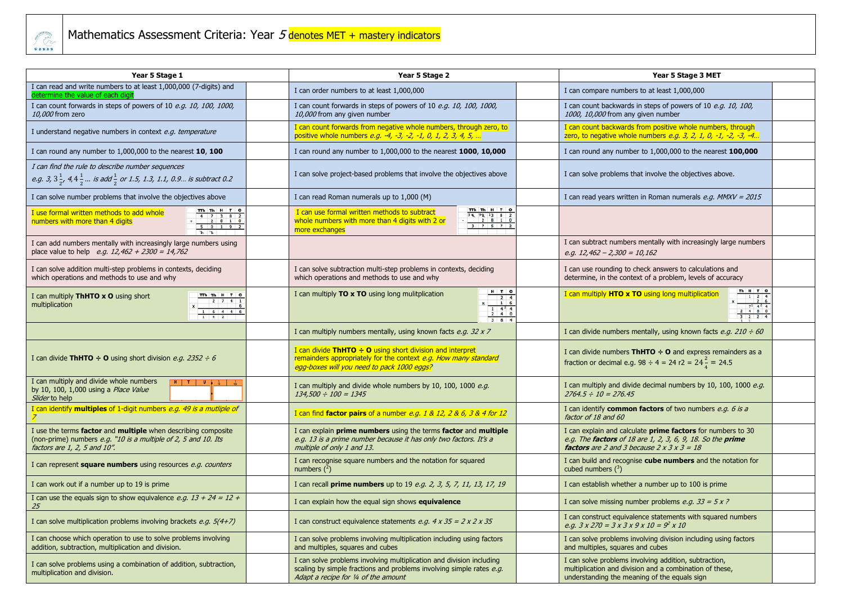

| Year 5 Stage 1                                                                                                                                                                         | Year 5 Stage 2                                                                                                                                                                                                   | Year 5 Stage 3 MET                                                                                                                                                                                              |
|----------------------------------------------------------------------------------------------------------------------------------------------------------------------------------------|------------------------------------------------------------------------------------------------------------------------------------------------------------------------------------------------------------------|-----------------------------------------------------------------------------------------------------------------------------------------------------------------------------------------------------------------|
| I can read and write numbers to at least 1,000,000 (7-digits) and<br>letermine the value of each digit                                                                                 | I can order numbers to at least 1,000,000                                                                                                                                                                        | I can compare numbers to at least 1,000,000                                                                                                                                                                     |
| I can count forwards in steps of powers of 10 e.g. 10, 100, 1000,<br>10,000 from zero                                                                                                  | I can count forwards in steps of powers of 10 e.g. 10, 100, 1000,<br>10,000 from any given number                                                                                                                | I can count backwards in steps of powers of 10 e.g. 10, 100,<br>1000, 10,000 from any given number                                                                                                              |
| I understand negative numbers in context e.g. temperature                                                                                                                              | I can count forwards from negative whole numbers, through zero, to<br>positive whole numbers e.g. -4, -3, -2, -1, 0, 1, 2, 3, 4, 5,                                                                              | I can count backwards from positive whole numbers, through<br>zero, to negative whole numbers <i>e.g. 3, 2, 1, 0, -1, -2, -3, -4</i>                                                                            |
| I can round any number to 1,000,000 to the nearest 10, 100                                                                                                                             | I can round any number to 1,000,000 to the nearest 1000, 10,000                                                                                                                                                  | I can round any number to 1,000,000 to the nearest 100,000                                                                                                                                                      |
| I can find the rule to describe number sequences<br><i>e.g.</i> 3, $3\frac{1}{2}$ , 4, $4\frac{1}{2}$ <i>is add</i> $\frac{1}{2}$ <i>or 1.5, 1.3, 1.1, 0.9 is subtract 0.2</i>         | I can solve project-based problems that involve the objectives above                                                                                                                                             | I can solve problems that involve the objectives above.                                                                                                                                                         |
| I can solve number problems that involve the objectives above                                                                                                                          | I can read Roman numerals up to 1,000 (M)                                                                                                                                                                        | I can read years written in Roman numerals e.g. $MMXV = 2015$                                                                                                                                                   |
| TTh Th H T O<br>I use formal written methods to add whole<br>numbers with more than 4 digits<br>$5 \t0 \t1 \t9$ 2                                                                      | TTh Th H T O<br>I can use formal written methods to subtract<br>$\begin{array}{c cccc}\n34 & 90 & 13 & 8 & 2 \\ 2 & 8 & 1 & 0\n\end{array}$<br>whole numbers with more than 4 digits with 2 or<br>more exchanges |                                                                                                                                                                                                                 |
| I can add numbers mentally with increasingly large numbers using<br>place value to help <i>e.g.</i> $12,462 + 2300 = 14,762$                                                           |                                                                                                                                                                                                                  | I can subtract numbers mentally with increasingly large numbers<br>e.g. $12,462 - 2,300 = 10,162$                                                                                                               |
| I can solve addition multi-step problems in contexts, deciding<br>which operations and methods to use and why                                                                          | I can solve subtraction multi-step problems in contexts, deciding<br>which operations and methods to use and why                                                                                                 | I can use rounding to check answers to calculations and<br>determine, in the context of a problem, levels of accuracy                                                                                           |
| TTh Th H T 0<br>I can multiply ThHTO x O using short<br>$\begin{array}{ c c c c c }\n\hline\n2 & 7 & 4 & 1 \\ \hline\n6 & & & 6\n\end{array}$<br>multiplication<br>$1 \t6 \t4 \t4 \t6$ | $H$ $T$ 0<br>I can multiply TO x TO using long mulitplication<br>$\frac{1}{2}$ $\frac{4^2}{4}$ 0<br>$384$                                                                                                        | Th H T O<br>I can multiply HTO x TO using long multiplication<br>$\begin{array}{c cc} 1 & 2 & 4 \\ \hline & 2 & 6 \end{array}$<br>481                                                                           |
|                                                                                                                                                                                        | I can multiply numbers mentally, using known facts e.g. 32 x 7                                                                                                                                                   | I can divide numbers mentally, using known facts e.g. $210 \div 60$                                                                                                                                             |
| I can divide ThHTO $\div$ O using short division <i>e.g. 2352 <math>\div</math> 6</i>                                                                                                  | I can divide ThHTO $\div$ O using short division and interpret<br>remainders appropriately for the context e.g. How many standard<br>egg-boxes will you need to pack 1000 eggs?                                  | I can divide numbers ThHTO $\div$ O and express remainders as a<br>fraction or decimal e.g. 98 ÷ 4 = 24 r2 = $24\frac{2}{4}$ = 24.5                                                                             |
| I can multiply and divide whole numbers<br>$H$ $T$ $U$<br>by 10, 100, 1,000 using a Place Value<br>Slider to help                                                                      | I can multiply and divide whole numbers by 10, 100, 1000 e.g.<br>$134,500 \div 100 = 1345$                                                                                                                       | I can multiply and divide decimal numbers by 10, 100, 1000 e.g.<br>$2764.5 \div 10 = 276.45$                                                                                                                    |
| I can identify <b>multiples</b> of 1-digit numbers e.g. 49 is a mutliple of                                                                                                            | I can find <b>factor pairs</b> of a number e.g. 1 & 12, 2 & 6, 3 & 4 for 12                                                                                                                                      | I can identify <b>common factors</b> of two numbers e.g. 6 is a<br>factor of 18 and 60                                                                                                                          |
| I use the terms factor and multiple when describing composite<br>(non-prime) numbers $e.g.$ "10 is a multiple of 2, 5 and 10. Its<br>factors are 1, 2, 5 and 10".                      | I can explain prime numbers using the terms factor and multiple<br>e.g. 13 is a prime number because it has only two factors. It's a<br>multiple of only 1 and 13.                                               | I can explain and calculate <b>prime factors</b> for numbers to 30<br>e.g. The <b>factors</b> of 18 are 1, 2, 3, 6, 9, 18. So the <b>prime</b><br><b>factors</b> are 2 and 3 because $2 \times 3 \times 3 = 18$ |
| I can represent square numbers using resources e.g. counters                                                                                                                           | I can recognise square numbers and the notation for squared<br>numbers $(^2)$                                                                                                                                    | I can build and recognise cube numbers and the notation for<br>cubed numbers $(^3)$                                                                                                                             |
| I can work out if a number up to 19 is prime                                                                                                                                           | I can recall <b>prime numbers</b> up to 19 <i>e.g. 2, 3, 5, 7, 11, 13, 17, 19</i>                                                                                                                                | I can establish whether a number up to 100 is prime                                                                                                                                                             |
| I can use the equals sign to show equivalence e.g. $13 + 24 = 12 +$<br>25                                                                                                              | I can explain how the equal sign shows equivalence                                                                                                                                                               | I can solve missing number problems e.g. $33 = 5x$ ?                                                                                                                                                            |
| I can solve multiplication problems involving brackets e.g. $5(4+7)$                                                                                                                   | I can construct equivalence statements e.g. $4 \times 35 = 2 \times 2 \times 35$                                                                                                                                 | I can construct equivalence statements with squared numbers<br>e.g. $3 \times 270 = 3 \times 3 \times 9 \times 10 = 9^2 \times 10$                                                                              |
| I can choose which operation to use to solve problems involving<br>addition, subtraction, multiplication and division.                                                                 | I can solve problems involving multiplication including using factors<br>and multiples, squares and cubes                                                                                                        | I can solve problems involving division including using factors<br>and multiples, squares and cubes                                                                                                             |
| I can solve problems using a combination of addition, subtraction,<br>multiplication and division.                                                                                     | I can solve problems involving multiplication and division including<br>scaling by simple fractions and problems involving simple rates e.g.<br>Adapt a recipe for 1/4 of the amount                             | I can solve problems involving addition, subtraction,<br>multiplication and division and a combination of these,<br>understanding the meaning of the equals sign                                                |